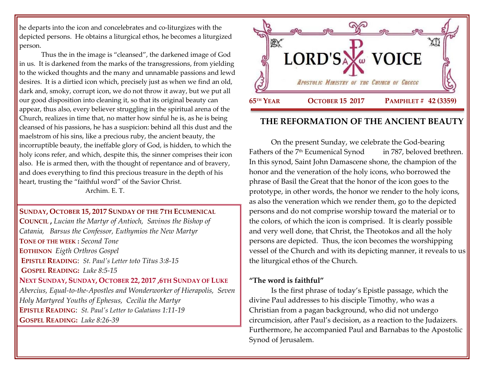he departs into the icon and concelebrates and co-liturgizes with the depicted persons. He obtains a liturgical ethos, he becomes a liturgized person.

Thus the in the image is "cleansed", the darkened image of God in us. It is darkened from the marks of the transgressions, from yielding to the wicked thoughts and the many and unnamable passions and lewd desires. It is a dirtied icon which, precisely just as when we find an old, dark and, smoky, corrupt icon, we do not throw it away, but we put all our good disposition into cleaning it, so that its original beauty can appear, thus also, every believer struggling in the spiritual arena of the Church, realizes in time that, no matter how sinful he is, as he is being cleansed of his passions, he has a suspicion: behind all this dust and the maelstrom of his sins, like a precious ruby, the ancient beauty, the incorruptible beauty, the ineffable glory of God, is hidden, to which the holy icons refer, and which, despite this, the sinner comprises their icon also. He is armed then, with the thought of repentance and of bravery, and does everything to find this precious treasure in the depth of his heart, trusting the "faithful word" of the Savior Christ. Archim. E. T.

**SUNDAY, OCTOBER 15, 2017 S[UNDAY OF THE](https://www.goarch.org/chapel/saints?contentid=883&PCode=4LS&D=S&date=10/15/2017) 7TH ECUMENICAL C[OUNCIL](https://www.goarch.org/chapel/saints?contentid=883&PCode=4LS&D=S&date=10/15/2017) ,** *[Lucian the Martyr of Antioch, S](https://www.goarch.org/chapel/saints?contentid=242)avinos the Bishop of Catania, Barsus the Confessor, Euthymios the New Martyr* **TONE OF THE WEEK :** *Second Tone* **EOTHINON** *Eigth Orthros Gospel* **EPISTLE READING**: *[St. Paul's Letter to](https://www.goarch.org/chapel/lectionary?type=epistle&code=27&event=940&date=5/28/2017)to Titus 3:8-15* **GOSPEL R[EADING](https://www.goarch.org/chapel/lectionary?type=gospel&code=43&event=940&date=5/28/2017):** *Luke 8:5-15* **NEXT SUNDAY, SUNDAY, OCTOBER 22, 2017 [,6](https://www.goarch.org/chapel/saints?contentid=939&PCode=6LS&D=S&date=10/22/2017)TH SUNDAY OF LUKE** *Abercius, [Equal-to-the-Apostles and Wonderworker of Hierapolis,](https://www.goarch.org/chapel/saints?contentid=252) [Seven](https://www.goarch.org/chapel/saints?contentid=253)  [Holy Martyred Youths of Ephesus, C](https://www.goarch.org/chapel/saints?contentid=253)ecilia the Martyr* **EPISTLE READING**: *[St. Paul's Letter](https://www.goarch.org/chapel/lectionary?type=epistle&code=27&event=940&date=5/28/2017) to Galatians 1:11-19* **GOSPEL R[EADING](https://www.goarch.org/chapel/lectionary?type=gospel&code=43&event=940&date=5/28/2017):** *Luke 8:26-39*



# **THE REFORMATION OF THE ANCIENT BEAUTY**

On the present Sunday, we celebrate the God-bearing Fathers of the 7<sup>th</sup> Ecumenical Synod in 787, beloved brethren. In this synod, Saint John Damascene shone, the champion of the honor and the veneration of the holy icons, who borrowed the phrase of Basil the Great that the honor of the icon goes to the prototype, in other words, the honor we render to the holy icons, as also the veneration which we render them, go to the depicted persons and do not comprise worship toward the material or to the colors, of which the icon is comprised. It is clearly possible and very well done, that Christ, the Theotokos and all the holy persons are depicted. Thus, the icon becomes the worshipping vessel of the Church and with its depicting manner, it reveals to us the liturgical ethos of the Church.

## **"The word is faithful"**

Is the first phrase of today's Epistle passage, which the divine Paul addresses to his disciple Timothy, who was a Christian from a pagan background, who did not undergo circumcision, after Paul's decision, as a reaction to the Judaizers. Furthermore, he accompanied Paul and Barnabas to the Apostolic Synod of Jerusalem.